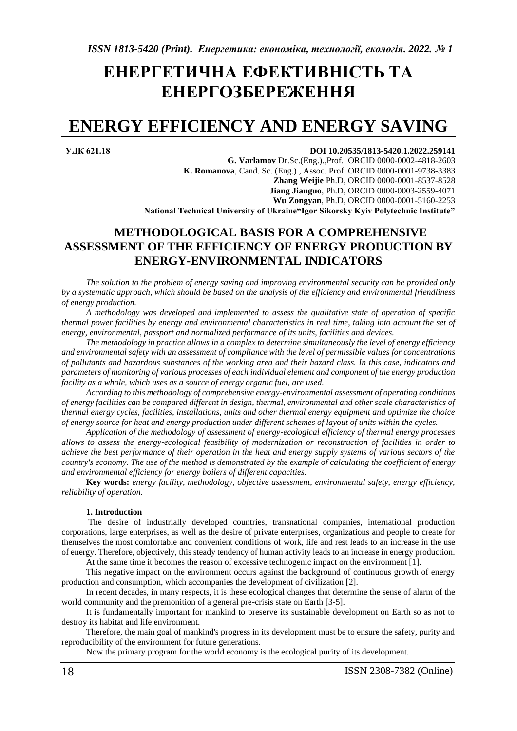# **ЕНЕРГЕТИЧНА ЕФЕКТИВНІСТЬ ТА ЕНЕРГОЗБЕРЕЖЕННЯ**

## **ENERGY EFFICIENCY AND ENERGY SAVING**

#### **УДК 621.18 DOI 10.20535/1813-5420.1.2022.259141**

**G. Varlamov** Dr.Sc.(Eng.).,Prof. ORCID 0000-0002-4818-2603 **K. Romanova**, Cand. Sc. (Eng.) , Assoc. Prof. ORCID 0000-0001-9738-3383 **Zhang Weijie** Ph.D, ORCID 0000-0001-8537-8528 **Jiang Jianguo**, Ph.D, ORCID 0000-0003-2559-4071 **Wu Zongyan**, Ph.D, ORCID [0000-0001-5160-2253](http://orcid.org/0000-0001-5160-2253) **National Technical University of Ukraine"Igor Sikorsky Kyiv Polytechnic Institute"**

### **METHODOLOGICAL BASIS FOR A COMPREHENSIVE ASSESSMENT OF THE EFFICIENCY OF ENERGY PRODUCTION BY ENERGY-ENVIRONMENTAL INDICATORS**

*The solution to the problem of energy saving and improving environmental security can be provided only by a systematic approach, which should be based on the analysis of the efficiency and environmental friendliness of energy production.* 

*A methodology was developed and implemented to assess the qualitative state of operation of specific thermal power facilities by energy and environmental characteristics in real time, taking into account the set of energy, environmental, passport and normalized performance of its units, facilities and devices.* 

*The methodology in practice allows in a complex to determine simultaneously the level of energy efficiency and environmental safety with an assessment of compliance with the level of permissible values for concentrations of pollutants and hazardous substances of the working area and their hazard class. In this case, indicators and parameters of monitoring of various processes of each individual element and component of the energy production facility as a whole, which uses as a source of energy organic fuel, are used.*

*According to this methodology of comprehensive energy-environmental assessment of operating conditions of energy facilities can be compared different in design, thermal, environmental and other scale characteristics of thermal energy cycles, facilities, installations, units and other thermal energy equipment and optimize the choice of energy source for heat and energy production under different schemes of layout of units within the cycles.*

*Application of the methodology of assessment of energy-ecological efficiency of thermal energy processes allows to assess the energy-ecological feasibility of modernization or reconstruction of facilities in order to achieve the best performance of their operation in the heat and energy supply systems of various sectors of the country's economy. The use of the method is demonstrated by the example of calculating the coefficient of energy and environmental efficiency for energy boilers of different capacities.*

**Key words:** *energy facility, methodology, objective assessment, environmental safety, energy efficiency, reliability of operation.*

#### **1. Introduction**

The desire of industrially developed countries, transnational companies, international production corporations, large enterprises, as well as the desire of private enterprises, organizations and people to create for themselves the most comfortable and convenient conditions of work, life and rest leads to an increase in the use of energy. Therefore, objectively, this steady tendency of human activity leads to an increase in energy production.

At the same time it becomes the reason of excessive technogenic impact on the environment [1].

This negative impact on the environment occurs against the background of continuous growth of energy production and consumption, which accompanies the development of civilization [2].

In recent decades, in many respects, it is these ecological changes that determine the sense of alarm of the world community and the premonition of a general pre-crisis state on Earth [3-5].

It is fundamentally important for mankind to preserve its sustainable development on Earth so as not to destroy its habitat and life environment.

Therefore, the main goal of mankind's progress in its development must be to ensure the safety, purity and reproducibility of the environment for future generations.

Now the primary program for the world economy is the ecological purity of its development.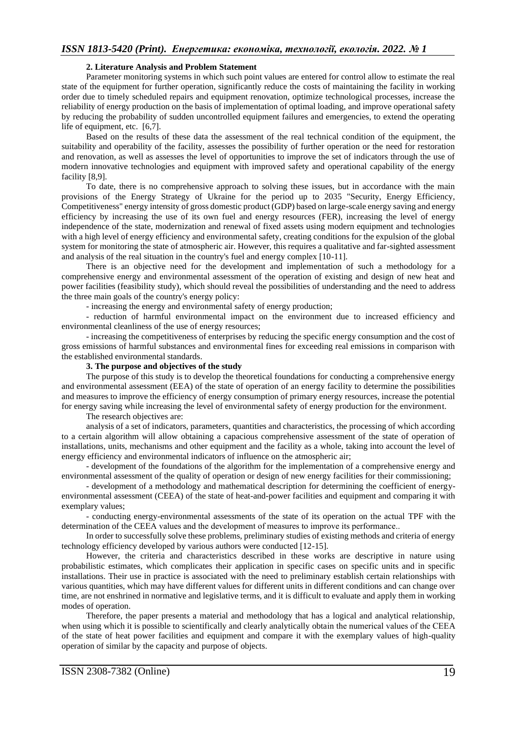#### **2. Literature Analysis and Problem Statement**

Parameter monitoring systems in which such point values are entered for control allow to estimate the real state of the equipment for further operation, significantly reduce the costs of maintaining the facility in working order due to timely scheduled repairs and equipment renovation, optimize technological processes, increase the reliability of energy production on the basis of implementation of optimal loading, and improve operational safety by reducing the probability of sudden uncontrolled equipment failures and emergencies, to extend the operating life of equipment, etc. [6,7].

Based on the results of these data the assessment of the real technical condition of the equipment, the suitability and operability of the facility, assesses the possibility of further operation or the need for restoration and renovation, as well as assesses the level of opportunities to improve the set of indicators through the use of modern innovative technologies and equipment with improved safety and operational capability of the energy facility [8,9].

To date, there is no comprehensive approach to solving these issues, but in accordance with the main provisions of the Energy Strategy of Ukraine for the period up to 2035 "Security, Energy Efficiency, Competitiveness" energy intensity of gross domestic product (GDP) based on large-scale energy saving and energy efficiency by increasing the use of its own fuel and energy resources (FER), increasing the level of energy independence of the state, modernization and renewal of fixed assets using modern equipment and technologies with a high level of energy efficiency and environmental safety, creating conditions for the expulsion of the global system for monitoring the state of atmospheric air. However, this requires a qualitative and far-sighted assessment and analysis of the real situation in the country's fuel and energy complex [10-11].

There is an objective need for the development and implementation of such a methodology for a comprehensive energy and environmental assessment of the operation of existing and design of new heat and power facilities (feasibility study), which should reveal the possibilities of understanding and the need to address the three main goals of the country's energy policy:

- increasing the energy and environmental safety of energy production;

- reduction of harmful environmental impact on the environment due to increased efficiency and environmental cleanliness of the use of energy resources;

- increasing the competitiveness of enterprises by reducing the specific energy consumption and the cost of gross emissions of harmful substances and environmental fines for exceeding real emissions in comparison with the established environmental standards.

#### **3. The purpose and objectives of the study**

The purpose of this study is to develop the theoretical foundations for conducting a comprehensive energy and environmental assessment (EEA) of the state of operation of an energy facility to determine the possibilities and measures to improve the efficiency of energy consumption of primary energy resources, increase the potential for energy saving while increasing the level of environmental safety of energy production for the environment.

The research objectives are:

analysis of a set of indicators, parameters, quantities and characteristics, the processing of which according to a certain algorithm will allow obtaining a capacious comprehensive assessment of the state of operation of installations, units, mechanisms and other equipment and the facility as a whole, taking into account the level of energy efficiency and environmental indicators of influence on the atmospheric air;

- development of the foundations of the algorithm for the implementation of a comprehensive energy and environmental assessment of the quality of operation or design of new energy facilities for their commissioning;

- development of a methodology and mathematical description for determining the coefficient of energyenvironmental assessment (CEEA) of the state of heat-and-power facilities and equipment and comparing it with exemplary values;

- conducting energy-environmental assessments of the state of its operation on the actual TPF with the determination of the CEEА values and the development of measures to improve its performance..

In order to successfully solve these problems, preliminary studies of existing methods and criteria of energy technology efficiency developed by various authors were conducted [12-15].

However, the criteria and characteristics described in these works are descriptive in nature using probabilistic estimates, which complicates their application in specific cases on specific units and in specific installations. Their use in practice is associated with the need to preliminary establish certain relationships with various quantities, which may have different values for different units in different conditions and can change over time, are not enshrined in normative and legislative terms, and it is difficult to evaluate and apply them in working modes of operation.

Therefore, the paper presents a material and methodology that has a logical and analytical relationship, when using which it is possible to scientifically and clearly analytically obtain the numerical values of the CEEA of the state of heat power facilities and equipment and compare it with the exemplary values of high-quality operation of similar by the capacity and purpose of objects.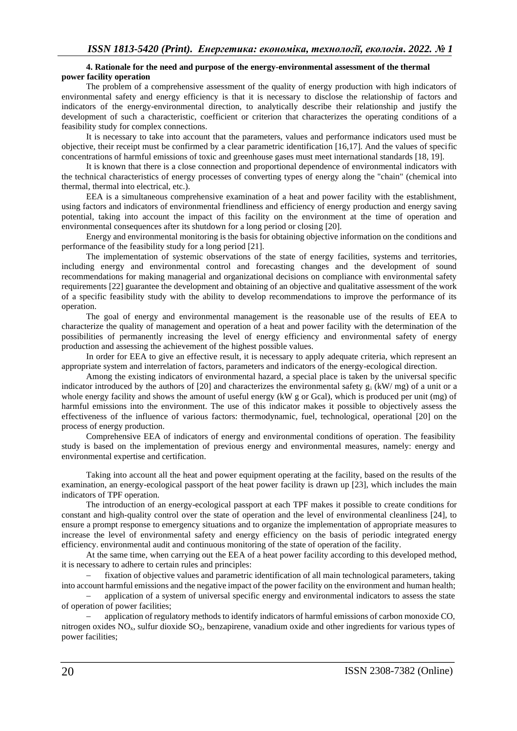#### **4. Rationale for the need and purpose of the energy-environmental assessment of the thermal power facility operation**

The problem of a comprehensive assessment of the quality of energy production with high indicators of environmental safety and energy efficiency is that it is necessary to disclose the relationship of factors and indicators of the energy-environmental direction, to analytically describe their relationship and justify the development of such a characteristic, coefficient or criterion that characterizes the operating conditions of a feasibility study for complex connections.

It is necessary to take into account that the parameters, values and performance indicators used must be objective, their receipt must be confirmed by a clear parametric identification [16,17]. And the values of specific concentrations of harmful emissions of toxic and greenhouse gases must meet international standards [18, 19].

It is known that there is a close connection and proportional dependence of environmental indicators with the technical characteristics of energy processes of converting types of energy along the "chain" (chemical into thermal, thermal into electrical, etc.).

EEA is a simultaneous comprehensive examination of a heat and power facility with the establishment, using factors and indicators of environmental friendliness and efficiency of energy production and energy saving potential, taking into account the impact of this facility on the environment at the time of operation and environmental consequences after its shutdown for a long period or closing [20].

Energy and environmental monitoring is the basis for obtaining objective information on the conditions and performance of the feasibility study for a long period [21].

The implementation of systemic observations of the state of energy facilities, systems and territories, including energy and environmental control and forecasting changes and the development of sound recommendations for making managerial and organizational decisions on compliance with environmental safety requirements [22] guarantee the development and obtaining of an objective and qualitative assessment of the work of a specific feasibility study with the ability to develop recommendations to improve the performance of its operation.

The goal of energy and environmental management is the reasonable use of the results of EEA to characterize the quality of management and operation of a heat and power facility with the determination of the possibilities of permanently increasing the level of energy efficiency and environmental safety of energy production and assessing the achievement of the highest possible values.

In order for EEA to give an effective result, it is necessary to apply adequate criteria, which represent an appropriate system and interrelation of factors, parameters and indicators of the energy-ecological direction.

Among the existing indicators of environmental hazard, a special place is taken by the universal specific indicator introduced by the authors of [20] and characterizes the environmental safety  $g_i$  (kW/ mg) of a unit or a whole energy facility and shows the amount of useful energy (kW g or Gcal), which is produced per unit (mg) of harmful emissions into the environment. The use of this indicator makes it possible to objectively assess the effectiveness of the influence of various factors: thermodynamic, fuel, technological, operational [20] on the process of energy production.

Comprehensive EEA of indicators of energy and environmental conditions of operation. The feasibility study is based on the implementation of previous energy and environmental measures, namely: energy and environmental expertise and certification.

Taking into account all the heat and power equipment operating at the facility, based on the results of the examination, an energy-ecological passport of the heat power facility is drawn up [23], which includes the main indicators of TPF operation.

The introduction of an energy-ecological passport at each TPF makes it possible to create conditions for constant and high-quality control over the state of operation and the level of environmental cleanliness [24], to ensure a prompt response to emergency situations and to organize the implementation of appropriate measures to increase the level of environmental safety and energy efficiency on the basis of periodic integrated energy efficiency. environmental audit and continuous monitoring of the state of operation of the facility.

At the same time, when carrying out the EEA of a heat power facility according to this developed method, it is necessary to adhere to certain rules and principles:

fixation of objective values and parametric identification of all main technological parameters, taking into account harmful emissions and the negative impact of the power facility on the environment and human health;

application of a system of universal specific energy and environmental indicators to assess the state of operation of power facilities;

− application of regulatory methods to identify indicators of harmful emissions of carbon monoxide CO, nitrogen oxides NOx, sulfur dioxide SO2, benzapirene, vanadium oxide and other ingredients for various types of power facilities;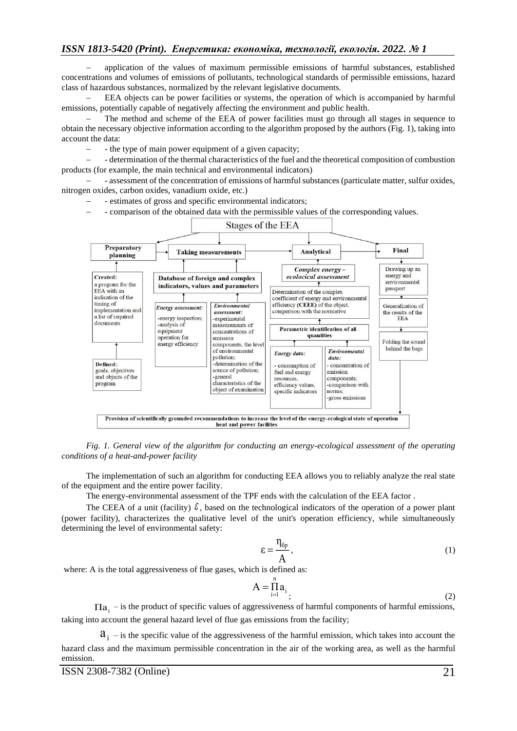application of the values of maximum permissible emissions of harmful substances, established concentrations and volumes of emissions of pollutants, technological standards of permissible emissions, hazard class of hazardous substances, normalized by the relevant legislative documents.

− EEA objects can be power facilities or systems, the operation of which is accompanied by harmful emissions, potentially capable of negatively affecting the environment and public health.

The method and scheme of the EEA of power facilities must go through all stages in sequence to obtain the necessary objective information according to the algorithm proposed by the authors (Fig. 1), taking into account the data:

− - the type of main power equipment of a given capacity;

− - determination of the thermal characteristics of the fuel and the theoretical composition of combustion products (for example, the main technical and environmental indicators)

− - assessment of the concentration of emissions of harmful substances (particulate matter, sulfur oxides, nitrogen oxides, carbon oxides, vanadium oxide, etc.)

- − estimates of gross and specific environmental indicators;
- − comparison of the obtained data with the permissible values of the corresponding values.



*Fig. 1. General view of the algorithm for conducting an energy-ecological assessment of the operating conditions of a heat-and-power facility*

The implementation of such an algorithm for conducting EEA allows you to reliably analyze the real state of the equipment and the entire power facility.

The energy-environmental assessment of the TPF ends with the calculation of the EEA factor .

The CEEA of a unit (facility)  $\ell$ , based on the technological indicators of the operation of a power plant (power facility), characterizes the qualitative level of the unit's operation efficiency, while simultaneously determining the level of environmental safety:

$$
\varepsilon = \frac{\eta_{6p}}{A},\tag{1}
$$

where: A is the total aggressiveness of flue gases, which is defined as:

$$
A = \prod_{i=1}^{n} a_i
$$
\n<sup>(2)</sup>

 $\Pi a_i$  – is the product of specific values of aggressiveness of harmful components of harmful emissions, taking into account the general hazard level of flue gas emissions from the facility;

 $a_i$  – is the specific value of the aggressiveness of the harmful emission, which takes into account the hazard class and the maximum permissible concentration in the air of the working area, as well as the harmful emission.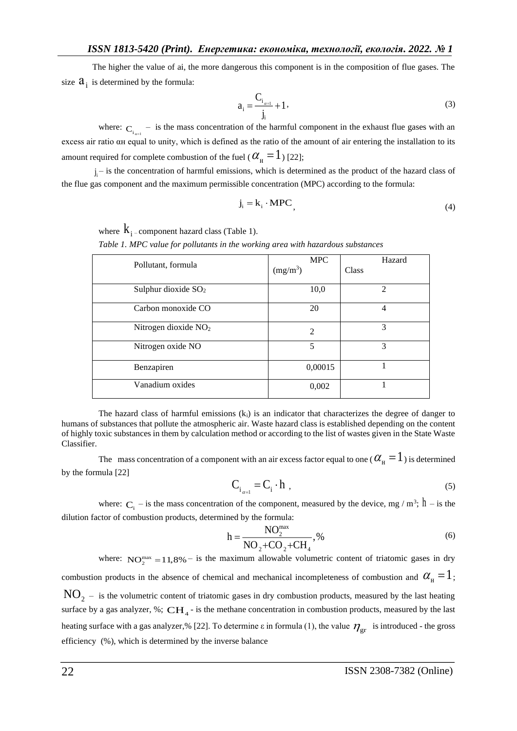The higher the value of ai, the more dangerous this component is in the composition of flue gases. The size  $a_i$  is determined by the formula:

$$
a_{i} = \frac{C_{i_{\alpha=1}}}{j_{i}} + 1, \tag{3}
$$

where:  $C_i$ <sub>i<sub>a-1</sub></sub> – is the mass concentration of the harmful component in the exhaust flue gases with an excess air ratio αн equal to unity, which is defined as the ratio of the amount of air entering the installation to its amount required for complete combustion of the fuel (  $\alpha_{_{\rm H}}\!=\!1$  ) [22];

 $j_i$  – is the concentration of harmful emissions, which is determined as the product of the hazard class of the flue gas component and the maximum permissible concentration (MPC) according to the formula:

$$
\mathbf{j_i} = \mathbf{k_i} \cdot \mathbf{MPC},\tag{4}
$$

where  $\rm k_{i}$  – component hazard class (Table 1).

*Table 1. MPC value for pollutants in the working area with hazardous substances*

| Pollutant, formula               | <b>MPC</b><br>(mg/m <sup>3</sup> ) | Hazard<br>Class |
|----------------------------------|------------------------------------|-----------------|
| Sulphur dioxide SO <sub>2</sub>  | 10,0                               | $\mathfrak{D}$  |
| Carbon monoxide CO               | 20                                 | 4               |
| Nitrogen dioxide NO <sub>2</sub> | $\overline{2}$                     | 3               |
| Nitrogen oxide NO                | 5                                  | 3               |
| Benzapiren                       | 0,00015                            |                 |
| Vanadium oxides                  | 0,002                              |                 |

The hazard class of harmful emissions  $(k<sub>i</sub>)$  is an indicator that characterizes the degree of danger to humans of substances that pollute the atmospheric air. Waste hazard class is established depending on the content of highly toxic substances in them by calculation method or according to the list of wastes given in the State Waste Classifier.

The mass concentration of a component with an air excess factor equal to one (  $\alpha_{\text{H}} = 1$  ) is determined by the formula [22]

$$
C_{i_{\alpha=1}} = C_i \cdot h \tag{5}
$$

where:  $C_i$  – is the mass concentration of the component, measured by the device, mg / m<sup>3</sup>; h – is the dilution factor of combustion products, determined by the formula:

$$
h = \frac{NO_2^{\max}}{NO_2 + CO_2 + CH_4},\%
$$
 (6)

where:  $NO_2^{\text{max}} = 11,8\%$  - is the maximum allowable volumetric content of triatomic gases in dry combustion products in the absence of chemical and mechanical incompleteness of combustion and  $\alpha_{_\mathrm{H}}=1$ ;  $\rm NO_{2-}$  is the volumetric content of triatomic gases in dry combustion products, measured by the last heating surface by a gas analyzer, %;  $\text{CH}_4$  - is the methane concentration in combustion products, measured by the last heating surface with a gas analyzer,% [22]. To determine  $\varepsilon$  in formula (1), the value  $\eta_{gr}$  is introduced - the gross efficiency (%), which is determined by the inverse balance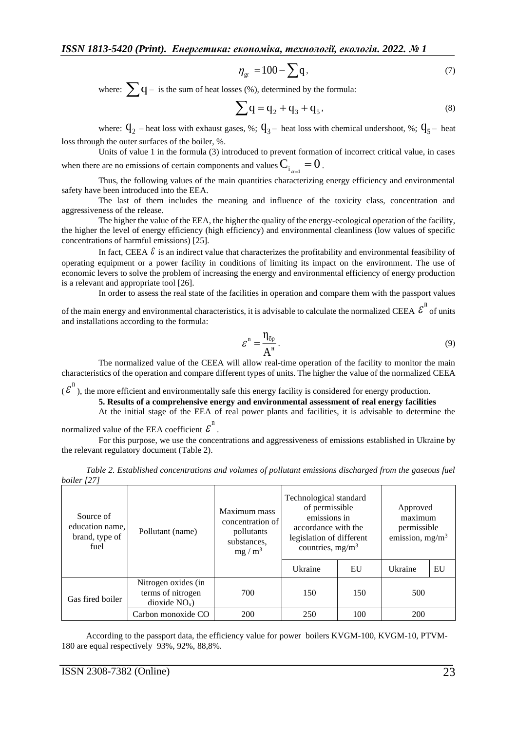$$
\eta_{\rm gr} = 100 - \sum q,\tag{7}
$$

where:  $\sum q - i s$  the sum of heat losses (%), determined by the formula:

$$
\sum q = q_2 + q_3 + q_5,
$$
 (8)

where:  $q_2$  – heat loss with exhaust gases, %;  $q_3$ – heat loss with chemical undershoot, %;  $q_5$ – heat loss through the outer surfaces of the boiler, %.

Units of value 1 in the formula (3) introduced to prevent formation of incorrect critical value, in cases when there are no emissions of certain components and values  $\mathbf{C}_{\mathbf{i}_{\alpha=1}}=0$  .

Thus, the following values of the main quantities characterizing energy efficiency and environmental safety have been introduced into the EEA.

The last of them includes the meaning and influence of the toxicity class, concentration and aggressiveness of the release.

The higher the value of the EEA, the higher the quality of the energy-ecological operation of the facility, the higher the level of energy efficiency (high efficiency) and environmental cleanliness (low values of specific concentrations of harmful emissions) [25].

In fact, CEEA  $\mathcal{E}$  is an indirect value that characterizes the profitability and environmental feasibility of operating equipment or a power facility in conditions of limiting its impact on the environment. The use of economic levers to solve the problem of increasing the energy and environmental efficiency of energy production is a relevant and appropriate tool [26].

In order to assess the real state of the facilities in operation and compare them with the passport values

of the main energy and environmental characteristics, it is advisable to calculate the normalized CEEA  $\mathcal{E}^{\mathbb{n}}$  of units and installations according to the formula:

$$
\mathcal{E}^{\mathbf{n}} = \frac{\eta_{\text{op}}}{A^{\mathbf{n}}}.
$$
\n(9)

The normalized value of the CEEA will allow real-time operation of the facility to monitor the main characteristics of the operation and compare different types of units. The higher the value of the normalized CEEA

 $(\epsilon^n)$ , the more efficient and environmentally safe this energy facility is considered for energy production.

#### **5. Results of a comprehensive energy and environmental assessment of real energy facilities**

At the initial stage of the EEA of real power plants and facilities, it is advisable to determine the

normalized value of the EEA coefficient  $\mathcal{E}^{\text{n}}$ .

For this purpose, we use the concentrations and aggressiveness of emissions established in Ukraine by the relevant regulatory document (Table 2).

| boiler [27]                                            |                                                             |                                                                           |                                                                                                                                   |     |                                                         |    |  |  |  |  |
|--------------------------------------------------------|-------------------------------------------------------------|---------------------------------------------------------------------------|-----------------------------------------------------------------------------------------------------------------------------------|-----|---------------------------------------------------------|----|--|--|--|--|
| Source of<br>education name.<br>brand, type of<br>fuel | Pollutant (name)                                            | Maximum mass<br>concentration of<br>pollutants<br>substances.<br>$mg/m^3$ | Technological standard<br>of permissible<br>emissions in<br>accordance with the<br>legislation of different<br>countries, $mg/m3$ |     | Approved<br>maximum<br>permissible<br>emission, $mg/m3$ |    |  |  |  |  |
|                                                        |                                                             |                                                                           | Ukraine                                                                                                                           | EU  | Ukraine                                                 | EU |  |  |  |  |
| Gas fired boiler                                       | Nitrogen oxides (in<br>terms of nitrogen<br>$dioxide NOx$ ) | 700                                                                       | 150                                                                                                                               | 150 | 500                                                     |    |  |  |  |  |
|                                                        | Carbon monoxide CO                                          | 200                                                                       | 250                                                                                                                               | 100 | 200                                                     |    |  |  |  |  |

*Table 2. Established concentrations and volumes of pollutant emissions discharged from the gaseous fuel boiler [27]*

According to the passport data, the efficiency value for power boilers KVGM-100, KVGM-10, PTVM-180 are equal respectively 93%, 92%, 88,8%.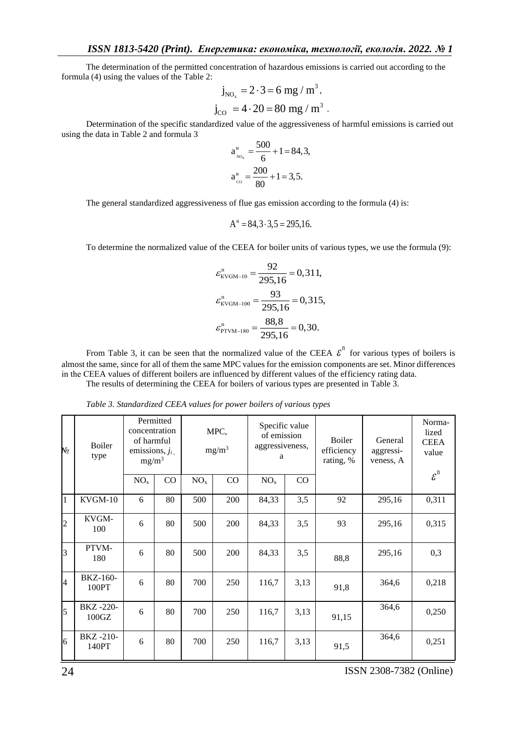The determination of the permitted concentration of hazardous emissions is carried out according to the formula (4) using the values of the Table 2:

$$
j_{\text{NO}_x} = 2 \cdot 3 = 6 \text{ mg/m}^3
$$
,  
 $j_{\text{CO}} = 4 \cdot 20 = 80 \text{ mg/m}^3$ .

Determination of the specific standardized value of the aggressiveness of harmful emissions is carried out using the data in Table 2 and formula 3

$$
a_{\text{no}_x}^{\text{II}} = \frac{500}{6} + 1 = 84,3,
$$
  

$$
a_{\text{co}}^{\text{II}} = \frac{200}{80} + 1 = 3,5.
$$

The general standardized aggressiveness of flue gas emission according to the formula (4) is:

$$
A^H = 84, 3 \cdot 3, 5 = 295, 16.
$$

To determine the normalized value of the CEEA for boiler units of various types, we use the formula (9):

$$
\varepsilon_{\text{KVGM-10}}^n = \frac{92}{295,16} = 0,311,
$$
  

$$
\varepsilon_{\text{KVGM-100}}^n = \frac{93}{295,16} = 0,315,
$$
  

$$
\varepsilon_{\text{PTVM-180}}^n = \frac{88,8}{295,16} = 0,30.
$$

From Table 3, it can be seen that the normalized value of the CEEA  $\epsilon^n$  for various types of boilers is almost the same, since for all of them the same MPC values for the emission components are set. Minor differences in the СEEA values of different boilers are influenced by different values of the efficiency rating data.

The results of determining the CEEA for boilers of various types are presented in Table 3.

| No             | <b>Boiler</b><br>type          | Permitted<br>concentration<br>of harmful<br>emissions, $j_i$ ,<br>$mg/m^3$ |    | MPC,<br>$mg/m^3$ |     | Specific value<br>of emission<br>aggressiveness,<br>a |          | Boiler<br>efficiency<br>rating, % | General<br>aggressi-<br>veness, A | Norma-<br>lized<br><b>CEEA</b><br>value |
|----------------|--------------------------------|----------------------------------------------------------------------------|----|------------------|-----|-------------------------------------------------------|----------|-----------------------------------|-----------------------------------|-----------------------------------------|
|                |                                | NO <sub>x</sub>                                                            | CO | NO <sub>x</sub>  | CO  | NO <sub>x</sub>                                       | $\rm CO$ |                                   |                                   | $\boldsymbol{\varepsilon}^{\mathrm{n}}$ |
| $\mathbf{1}$   | KVGM-10                        | 6                                                                          | 80 | 500              | 200 | 84,33                                                 | 3,5      | 92                                | 295,16                            | 0,311                                   |
| $\overline{c}$ | KVGM-<br>100                   | 6                                                                          | 80 | 500              | 200 | 84,33                                                 | 3,5      | 93                                | 295,16                            | 0,315                                   |
| $\overline{3}$ | PTVM-<br>180                   | 6                                                                          | 80 | 500              | 200 | 84,33                                                 | 3,5      | 88,8                              | 295,16                            | 0,3                                     |
| $\overline{4}$ | BKZ-160-<br>100PT              | 6                                                                          | 80 | 700              | 250 | 116,7                                                 | 3,13     | 91,8                              | 364,6                             | 0,218                                   |
| 5              | BKZ-220-<br>100 <sub>G</sub> Z | 6                                                                          | 80 | 700              | 250 | 116,7                                                 | 3,13     | 91,15                             | 364,6                             | 0,250                                   |
| 6              | BKZ-210-<br>140PT              | 6                                                                          | 80 | 700              | 250 | 116,7                                                 | 3,13     | 91,5                              | 364,6                             | 0,251                                   |

*Table 3. Standardized CEEA values for power boilers of various types*

24ISSN 2308-7382 (Online)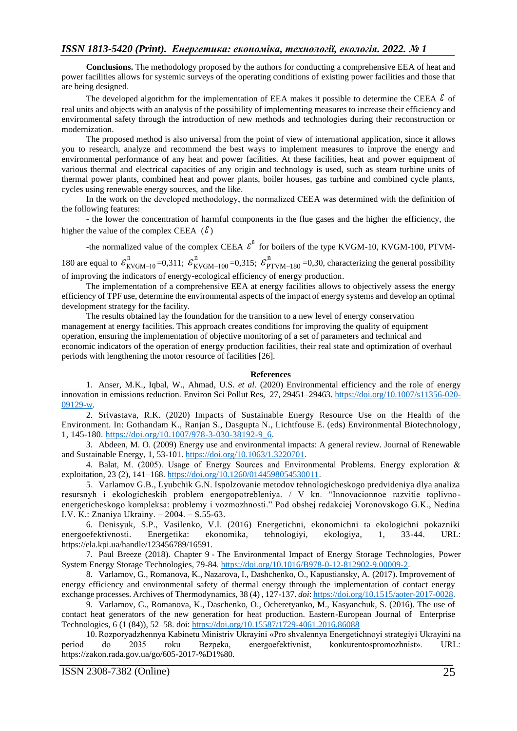**Conclusions.** The methodology proposed by the authors for conducting a comprehensive EEA of heat and power facilities allows for systemic surveys of the operating conditions of existing power facilities and those that are being designed.

The developed algorithm for the implementation of EEA makes it possible to determine the CEEA  $\delta$  of real units and objects with an analysis of the possibility of implementing measures to increase their efficiency and environmental safety through the introduction of new methods and technologies during their reconstruction or modernization.

The proposed method is also universal from the point of view of international application, since it allows you to research, analyze and recommend the best ways to implement measures to improve the energy and environmental performance of any heat and power facilities. At these facilities, heat and power equipment of various thermal and electrical capacities of any origin and technology is used, such as steam turbine units of thermal power plants, combined heat and power plants, boiler houses, gas turbine and combined cycle plants, cycles using renewable energy sources, and the like.

In the work on the developed methodology, the normalized СEEA was determined with the definition of the following features:

- the lower the concentration of harmful components in the flue gases and the higher the efficiency, the higher the value of the complex CEEA  $(\mathcal{E})$ 

-the normalized value of the complex CEEA  $\epsilon^{n}$  for boilers of the type KVGM-10, KVGM-100, PTVM-180 are equal to  $\mathcal{E}_{KVGM-10}^{n}$  =0,311;  $\mathcal{E}_{KVGM-100}^{n}$  =0,315;  $\mathcal{E}_{PYKM-180}^{n}$  =0,30, characterizing the general possibility of improving the indicators of energy-ecological efficiency of energy production.

The implementation of a comprehensive EEA at energy facilities allows to objectively assess the energy efficiency of TPF use, determine the environmental aspects of the impact of energy systems and develop an optimal development strategy for the facility.

The results obtained lay the foundation for the transition to a new level of energy conservation management at energy facilities. This approach creates conditions for improving the quality of equipment operation, ensuring the implementation of objective monitoring of a set of parameters and technical and economic indicators of the operation of energy production facilities, their real state and optimization of overhaul periods with lengthening the motor resource of facilities [26].

#### **References**

1. Anser, M.K., Iqbal, W., Ahmad, U.S. *et al.* (2020) Environmental efficiency and the role of energy innovation in emissions reduction. Environ Sci Pollut Res, 27, 29451–29463[. https://doi.org/10.1007/s11356-020-](https://doi.org/10.1007/s11356-020-09129-w) [09129-w.](https://doi.org/10.1007/s11356-020-09129-w)

2. Srivastava, R.K. (2020) Impacts of Sustainable Energy Resource Use on the Health of the Environment. In: Gothandam K., Ranjan S., Dasgupta N., Lichtfouse E. (eds) Environmental Biotechnology, 1, 145-180. [https://doi.org/10.1007/978-3-030-38192-9\\_6.](https://doi.org/10.1007/978-3-030-38192-9_6)

3. Abdeen, M. O. (2009) Energy use and environmental impacts: A general review. Journal of Renewable and Sustainable Energy, 1, 53-101[. https://doi.org/10.1063/1.3220701.](https://doi.org/10.1063/1.3220701)

4. Balat, М. (2005). Usage of Energy Sources and Environmental Problems. Energy exploration & exploitation, 23 (2), 141–168. [https://doi.org/10.1260/0144598054530011.](https://doi.org/10.1260%2F0144598054530011)

5. Varlamov G.B., Lyubchik G.N. Ispolzovanie metodov tehnologicheskogo predvideniya dlya analiza resursnyh i ekologicheskih problem energopotrebleniya. / V kn. "Innovacionnoe razvitie toplivno energeticheskogo kompleksa: problemy i vozmozhnosti." Pod obshej redakciej Voronovskogo G.K., Nedina I.V. K.: Znaniya Ukrainy. – 2004. – S.55-63.

6. Denisyuk, S.P., Vasilenko, V.I. (2016) Energetichni, ekonomichni ta ekologichni pokazniki energoefektivnosti. Energetika: ekonomika, tehnologiyi, ekologiya, 1, 33-44. URL: https://ela.kpi.ua/handle/123456789/16591.

7. Paul Breeze (2018). Chapter 9 - The Environmental Impact of Energy Storage Technologies, Power System Energy Storage Technologies, 79-84[. https://doi.org/10.1016/B978-0-12-812902-9.00009-2.](https://doi.org/10.1016/B978-0-12-812902-9.00009-2)

8. Varlamov, G., Romanova, K., Nazarova, I., Dashchenko, O., Kapustiansky, A. (2017). Improvement of energy efficiency and environmental safety of thermal energy through the implementation of contact energy exchange processes. Archives of Thermodynamics, 38 (4) , 127-137. *doi*[: https://doi.org/10.1515/aoter-2017-0028.](https://doi.org/10.1515/aoter-2017-0028)

9. Varlamov, G., Romanova, K., Daschenko, O., Ocheretyanko, M., Kasyanchuk, S. (2016). The use of contact heat generators of the new generation for heat production. Eastern-European Journal of Enterprise Technologies, 6 (1 (84)), 52–58. doi:<https://doi.org/10.15587/1729-4061.2016.86088>

10. Rozporyadzhennya Kabinetu Ministriv Ukrayini «Pro shvalennya Energetichnoyi strategiyi Ukrayini na period do 2035 roku Bezpeka, energoefektivnist, konkurentospromozhnist». URL: https://zakon.rada.gov.ua/go/605-2017-%D1%80.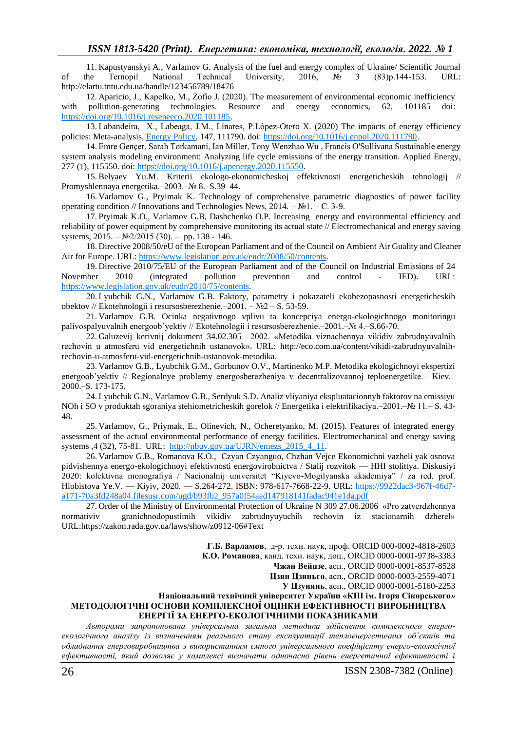11. Kapustyanskyi A., Varlamov G. Analysis of the fuel and energy complex of Ukraine/ Scientific Journal of the Ternopil National Technical University, 2016, № 3 (83)р.144-153. URL: http://elartu.tntu.edu.ua/handle/123456789/18476

12. Aparicio, J., Kapelko, M., Zofío J. (2020). The measurement of environmental economic inefficiency with pollution-generating technologies. Resource and energy economics, 62, 101185 doi: [https://doi.org/10.1016/j.reseneeco.2020.101185.](https://doi.org/10.1016/j.reseneeco.2020.101185)

13. Labandeira, X., Labeaga, J.M., Linares, P.López-Otero X. (2020) The impacts of energy efficiency policies: Meta-analysis, [Energy Policy,](https://www.sciencedirect.com/science/journal/03014215) 147, 111790. doi: [https://doi.org/10.1016/j.enpol.2020.111790.](https://doi.org/10.1016/j.enpol.2020.111790)

14. Emre Gençer, Sarah Torkamani, Ian Miller, Tony Wenzhao Wu , Francis O'Sullivana Sustainable energy system analysis modeling environment: Analyzing life cycle emissions of the energy transition. [Applied Energy,](https://www.sciencedirect.com/science/journal/03062619) 277 (1), 115550. doi: [https://doi.org/10.1016/j.apenergy.2020.115550.](https://doi.org/10.1016/j.apenergy.2020.115550)

15. Belyaev Yu.M. Kriterii ekologo-ekonomicheskoj effektivnosti energeticheskih tehnologij // Promyshlennaya energetika.–2003.–№ 8.–S.39–44.

16. Varlamov G., Pryimak K. Technology of comprehensive parametric diagnostics of power facility operating condition // Innovations and Technologies News,  $2014. - N<sub>2</sub>1. - C. 3-9.$ 

17. Pryimak K.O., Varlamov G.B, Dashchenko O.P. Increasing energy and environmental efficiency and reliability of power equipment by comprehensive monitoring its actual state // Electromechanical and energy saving systems,  $2015. - N<sub>2</sub>2/2015$  (30). – pp. 138 - 146.

18. Directive 2008/50/eU of the European Parliament and of the Council on Ambient Air Guality and Cleaner Air for Europe. URL: [https://www.legislation.gov.uk/eudr/2008/50/contents.](https://www.legislation.gov.uk/eudr/2008/50/contents)

19. Directive 2010/75/EU of the European Parliament and of the Council on Industrial Emissions of 24 November 2010 (integrated pollution prevention and control - IED). URL: [https://www.legislation.gov.uk/eudr/2010/75/contents.](https://www.legislation.gov.uk/eudr/2010/75/contents)

20. Lyubchik G.N., Varlamov G.B. Faktory, parametry i pokazateli ekobezopasnosti energeticheskih obektov // Ekotehnologii i resursosberezhenie.–2001. – №2 – S. 53-59.

21. Varlamov G.B. Ocinka negativnogo vplivu ta koncepciya energo-ekologichnogo monitoringu palivospalyuvalnih energoob'yektiv // Ekotehnologii i resursosberezhenie.–2001.–№ 4.–S.66-70.

22. Galuzevij kerivnij dokument 34.02.305––2002. «Metodika viznachennya vikidiv zabrudnyuvalnih rechovin u atmosferu vid energetichnih ustanovok». URL: [http://eco.com.ua/content/vikidi-zabrudnyuvalnih](http://eco.com.ua/content/vikidi-zabrudnyuvalnih-rechovin-u-atmosferu-vid-energetichnih-ustanovok-metodika)[rechovin-u-atmosferu-vid-energetichnih-ustanovok-metodika.](http://eco.com.ua/content/vikidi-zabrudnyuvalnih-rechovin-u-atmosferu-vid-energetichnih-ustanovok-metodika)

23. Varlamov G.B., Lyubchik G.M., Gorbunov O.V., Martinenko M.P. Metodika ekologichnoyi ekspertizi energoob'yektiv // Regionalnye problemy energosberezheniya v decentralizovannoj teploenergetike. – Kiev. 2000.–S. 173-175.

24. Lyubchik G.N., Varlamov G.B., Serdyuk S.D. Analiz vliyaniya ekspluatacionnyh faktorov na emissiyu NOh i SO v produktah sgoraniya stehiometricheskih gorelok // Energetika i elektrifikaciya.–2001.–№ 11.– S. 43- 48.

25. Varlamov, G., Priymak, E., Olinevich, N., Ocheretyanko, M. (2015). Features of integrated energy assessment of the actual environmental performance of energy facilities. Electromechanical and energy saving systems ,4 (32), 75-81. URL: [http://nbuv.gov.ua/UJRN/emezs\\_2015\\_4\\_11.](http://www.irbis-nbuv.gov.ua/cgi-bin/irbis_nbuv/cgiirbis_64.exe?I21DBN=LINK&P21DBN=UJRN&Z21ID=&S21REF=10&S21CNR=20&S21STN=1&S21FMT=ASP_meta&C21COM=S&2_S21P03=FILA=&2_S21STR=emezs_2015_4_11)

26. Varlamov G.B., Romanova K.O., Czyan Czyanguo, Chzhan Vejce Ekonomichni vazheli yak osnova pidvishennya energo-ekologichnoyi efektivnosti energovirobnictva / Stalij rozvitok — HHI stolittya. Diskusiyi 2020: kolektivna monografiya / Nacionalnij universitet "Kiyevo-Mogilyanska akademiya" / za red. prof. Hlobistova Ye.V. — Kiyiv, 2020. — S.264-272. ISBN: 978-617-7668-22-9. URL: [https://9922dac3-967f-46d7](https://9922dac3-967f-46d7-a171-70a3fd248a04.filesusr.com/ugd/b93fb2_957a0f54aad147918141fadac941e1da.pdf) [a171-70a3fd248a04.filesusr.com/ugd/b93fb2\\_957a0f54aad147918141fadac941e1da.pdf](https://9922dac3-967f-46d7-a171-70a3fd248a04.filesusr.com/ugd/b93fb2_957a0f54aad147918141fadac941e1da.pdf)

27. Order of the Ministry of Environmental Protection of Ukraine N 309 27.06.2006 «Pro zatverdzhennya normativiv granichnodopustimih vikidiv zabrudnyuyuchih rechovin iz stacionarnih dzherel» URL:https://zakon.rada.gov.ua/laws/show/z0912-06#Text

**Г.Б. Варламов**, д-р. техн. наук, проф. ORCID 000-0002-4818-2603

**К.О. Романова**, канд. техн. наук, доц., ORCID 0000-0001-9738-3383

**Чжан Вейцзе**, асп., ORCID 0000-0001-8537-8528

**Цзян Цзяньго**, асп., ORCID 0000-0003-2559-4071

**У Цзунянь**, асп., ORCID [0000-0001-5160-2253](http://orcid.org/0000-0001-5160-2253)

#### **Національний технічний університет України «КПІ ім. Ігоря Сікорського***»* **МЕТОДОЛОГІЧНІ ОСНОВИ КОМПЛЕКСНОЇ ОЦІНКИ ЕФЕКТИВНОСТІ ВИРОБНИЦТВА ЕНЕРГІЇ ЗА ЕНЕРГО-ЕКОЛОГІЧНИМИ ПОКАЗНИКАМИ**

*Авторами запропонована універсальна загальна методика здійснення комплексного енергоекологічного аналізу із визначенням реального стану експлуатації теплоенергетичних об`єктів та обладнання енерговиробництва з використанням ємного універсального коефіцієнту енерго-екологічної ефективності, який дозволяє у комплексі визначати одночасно рівень енергетичної ефективності і*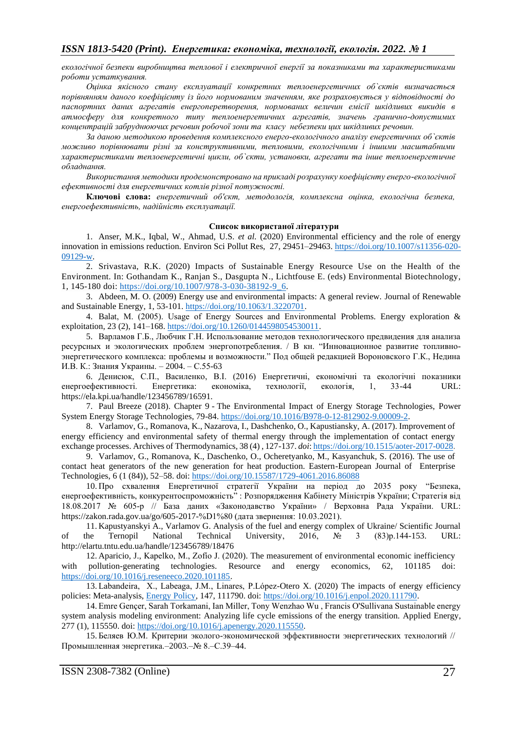*екологічної безпеки виробництва теплової і електричної енергії за показниками та характеристиками роботи устаткування.* 

*Оцінка якісного стану експлуатації конкретних теплоенергетичних об`єктів визначається порівнянням даного коефіцієнту із його нормованим значенням, яке розраховується у відповідності до паспортних даних агрегатів енергоперетворення, нормованих величин емісії шкідливих викидів в атмосферу для конкретного типу теплоенергетичних агрегатів, значень гранично-допустимих концентрацій забруднюючих речовин робочої зони та класу небезпеки цих шкідливих речовин.*

*За даною методикою проведення комплексного енерго-екологічного аналізу енергетичних об`єктів можливо порівнювати різні за конструктивними, тепловими, екологічними і іншими масштабними характеристиками теплоенергетичні цикли, об`єкти, установки, агрегати та інше теплоенергетичне обладнання.*

*Використання методики продемонстровано на прикладі розрахунку коефіцієнту енерго-екологічної ефективності для енергетичних котлів різної потужності.*

**Ключові слова:** *енергетичний об'єкт, методологія, комплексна оцінка, екологічна безпека, енергоефективність, надійність експлуатації.*

#### **Список використаної літератури**

1. Anser, M.K., Iqbal, W., Ahmad, U.S. *et al.* (2020) Environmental efficiency and the role of energy innovation in emissions reduction. Environ Sci Pollut Res, 27, 29451–29463[. https://doi.org/10.1007/s11356-020-](https://doi.org/10.1007/s11356-020-09129-w) [09129-w.](https://doi.org/10.1007/s11356-020-09129-w)

2. Srivastava, R.K. (2020) Impacts of Sustainable Energy Resource Use on the Health of the Environment. In: Gothandam K., Ranjan S., Dasgupta N., Lichtfouse E. (eds) Environmental Biotechnology, 1, 145-180 doi: [https://doi.org/10.1007/978-3-030-38192-9\\_6.](https://doi.org/10.1007/978-3-030-38192-9_6)

3. Abdeen, M. O. (2009) Energy use and environmental impacts: A general review. Journal of Renewable and Sustainable Energy, 1, 53-101[. https://doi.org/10.1063/1.3220701.](https://doi.org/10.1063/1.3220701)

4. Balat, М. (2005). Usage of Energy Sources and Environmental Problems. Energy exploration & exploitation, 23 (2), 141–168. [https://doi.org/10.1260/0144598054530011.](https://doi.org/10.1260%2F0144598054530011)

5. Варламов Г.Б., Любчик Г.Н. Использование методов технологического предвидения для анализа ресурсных и экологических проблем энергопотребления. / В кн. "Инновационное развитие топливноэнергетического комплекса: проблемы и возможности." Под общей редакцией Вороновского Г.К., Недина И.В. К.: Знания Украины. – 2004. – С.55-63

6. Денисюк, С.П., Василенко, В.І. (2016) Енергетичні, економічні та екологічні показники енергоефективності. Енергетика: економіка, технології, екологія, 1, 33-44 URL: https://ela.kpi.ua/handle/123456789/16591.

7. Paul Breeze (2018). Chapter 9 - The Environmental Impact of Energy Storage Technologies, Power System Energy Storage Technologies, 79-84[. https://doi.org/10.1016/B978-0-12-812902-9.00009-2.](https://doi.org/10.1016/B978-0-12-812902-9.00009-2)

8. Varlamov, G., Romanova, K., Nazarova, I., Dashchenko, O., Kapustiansky, A. (2017). Improvement of energy efficiency and environmental safety of thermal energy through the implementation of contact energy exchange processes. Archives of Thermodynamics, 38 (4) , 127-137. *doi*[: https://doi.org/10.1515/aoter-2017-0028.](https://doi.org/10.1515/aoter-2017-0028)

9. Varlamov, G., Romanova, K., Daschenko, O., Ocheretyanko, M., Kasyanchuk, S. (2016). The use of contact heat generators of the new generation for heat production. Eastern-European Journal of Enterprise Technologies, 6 (1 (84)), 52–58. doi:<https://doi.org/10.15587/1729-4061.2016.86088>

10. Про схвалення Енергетичної стратегії України на період до 2035 року "Безпека, енергоефективність, конкурентоспроможність" : Розпорядження Кабінету Міністрів України; Стратегія від 18.08.2017 № 605-р // База даних «Законодавство України» / Верховна Рада України. URL: https://zakon.rada.gov.ua/go/605-2017-%D1%80 (дата звернення: 10.03.2021).

11. Kapustyanskyi A., Varlamov G. Analysis of the fuel and energy complex of Ukraine/ Scientific Journal of the Ternopil National Technical University, 2016, № 3 (83)р.144-153. URL: http://elartu.tntu.edu.ua/handle/123456789/18476

12. Aparicio, J., Kapelko, M., Zofío J. (2020). The measurement of environmental economic inefficiency with pollution-generating technologies. Resource and energy economics, 62, 101185 doi: [https://doi.org/10.1016/j.reseneeco.2020.101185.](https://doi.org/10.1016/j.reseneeco.2020.101185)

13. Labandeira, X., Labeaga, J.M., Linares, P.López-Otero X. (2020) The impacts of energy efficiency policies: Meta-analysis, [Energy Policy,](https://www.sciencedirect.com/science/journal/03014215) 147, 111790. doi: [https://doi.org/10.1016/j.enpol.2020.111790.](https://doi.org/10.1016/j.enpol.2020.111790)

14. Emre Gençer, Sarah Torkamani, Ian Miller, Tony Wenzhao Wu , Francis O'Sullivana Sustainable energy system analysis modeling environment: Analyzing life cycle emissions of the energy transition. [Applied Energy,](https://www.sciencedirect.com/science/journal/03062619) 277 (1), 115550. doi: [https://doi.org/10.1016/j.apenergy.2020.115550.](https://doi.org/10.1016/j.apenergy.2020.115550)

15. Беляев Ю.М. Критерии эколого-экономической эффективности энергетических технологий // Промышленная энергетика.–2003.–№ 8.–С.39–44.